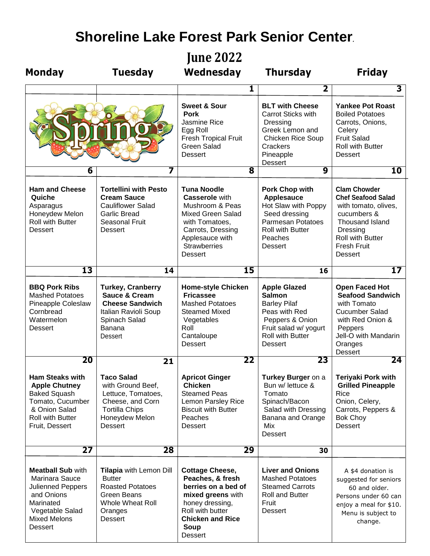## **Shoreline Lake Forest Park Senior Center**.

**June 2022**

| <b>Monday</b>                                                                                                                                                 | <b>Tuesday</b>                                                                                                                                      | Wednesday                                                                                                                                                                                     | <b>Thursday</b>                                                                                                                                                       | <b>Friday</b>                                                                                                                                                                             |
|---------------------------------------------------------------------------------------------------------------------------------------------------------------|-----------------------------------------------------------------------------------------------------------------------------------------------------|-----------------------------------------------------------------------------------------------------------------------------------------------------------------------------------------------|-----------------------------------------------------------------------------------------------------------------------------------------------------------------------|-------------------------------------------------------------------------------------------------------------------------------------------------------------------------------------------|
|                                                                                                                                                               |                                                                                                                                                     | 1                                                                                                                                                                                             | $\overline{\mathbf{2}}$                                                                                                                                               | 3                                                                                                                                                                                         |
|                                                                                                                                                               |                                                                                                                                                     | <b>Sweet &amp; Sour</b><br><b>Pork</b><br>Jasmine Rice<br>Egg Roll<br><b>Fresh Tropical Fruit</b><br><b>Green Salad</b><br><b>Dessert</b>                                                     | <b>BLT with Cheese</b><br>Carrot Sticks with<br>Dressing<br>Greek Lemon and<br><b>Chicken Rice Soup</b><br>Crackers<br>Pineapple<br><b>Dessert</b>                    | <b>Yankee Pot Roast</b><br><b>Boiled Potatoes</b><br>Carrots, Onions,<br>Celery<br><b>Fruit Salad</b><br><b>Roll with Butter</b><br><b>Dessert</b>                                        |
| 6                                                                                                                                                             | 7                                                                                                                                                   | $\overline{\mathbf{8}}$                                                                                                                                                                       | 9                                                                                                                                                                     | 10                                                                                                                                                                                        |
| <b>Ham and Cheese</b><br>Quiche<br>Asparagus<br>Honeydew Melon<br><b>Roll with Butter</b><br><b>Dessert</b>                                                   | <b>Tortellini with Pesto</b><br><b>Cream Sauce</b><br><b>Cauliflower Salad</b><br><b>Garlic Bread</b><br><b>Seasonal Fruit</b><br><b>Dessert</b>    | <b>Tuna Noodle</b><br><b>Casserole</b> with<br>Mushroom & Peas<br><b>Mixed Green Salad</b><br>with Tomatoes,<br>Carrots, Dressing<br>Applesauce with<br><b>Strawberries</b><br><b>Dessert</b> | <b>Pork Chop with</b><br><b>Applesauce</b><br>Hot Slaw with Poppy<br>Seed dressing<br>Parmesan Potatoes<br><b>Roll with Butter</b><br>Peaches<br><b>Dessert</b>       | <b>Clam Chowder</b><br><b>Chef Seafood Salad</b><br>with tomato, olives,<br>cucumbers &<br><b>Thousand Island</b><br>Dressing<br>Roll with Butter<br><b>Fresh Fruit</b><br><b>Dessert</b> |
| 13                                                                                                                                                            | 14                                                                                                                                                  | 15                                                                                                                                                                                            | 16                                                                                                                                                                    | 17                                                                                                                                                                                        |
| <b>BBQ Pork Ribs</b><br><b>Mashed Potatoes</b><br>Pineapple Coleslaw<br>Cornbread<br>Watermelon<br><b>Dessert</b>                                             | <b>Turkey, Cranberry</b><br><b>Sauce &amp; Cream</b><br><b>Cheese Sandwich</b><br>Italian Ravioli Soup<br>Spinach Salad<br>Banana<br><b>Dessert</b> | <b>Home-style Chicken</b><br><b>Fricassee</b><br><b>Mashed Potatoes</b><br><b>Steamed Mixed</b><br>Vegetables<br>Roll<br>Cantaloupe<br><b>Dessert</b>                                         | <b>Apple Glazed</b><br><b>Salmon</b><br><b>Barley Pilaf</b><br>Peas with Red<br>Peppers & Onion<br>Fruit salad w/ yogurt<br><b>Roll with Butter</b><br><b>Dessert</b> | <b>Open Faced Hot</b><br><b>Seafood Sandwich</b><br>with Tomato<br><b>Cucumber Salad</b><br>with Red Onion &<br>Peppers<br>Jell-O with Mandarin<br>Oranges<br><b>Dessert</b>              |
| 20                                                                                                                                                            | 21                                                                                                                                                  | 22                                                                                                                                                                                            | 23                                                                                                                                                                    | 24                                                                                                                                                                                        |
| <b>Ham Steaks with</b><br><b>Apple Chutney</b><br><b>Baked Squash</b><br>Tomato, Cucumber<br>& Onion Salad<br>Roll with Butter<br>Fruit, Dessert              | <b>Taco Salad</b><br>with Ground Beef,<br>Lettuce, Tomatoes,<br>Cheese, and Corn<br><b>Tortilla Chips</b><br>Honeydew Melon<br><b>Dessert</b>       | <b>Apricot Ginger</b><br><b>Chicken</b><br><b>Steamed Peas</b><br>Lemon Parsley Rice<br><b>Biscuit with Butter</b><br>Peaches<br><b>Dessert</b>                                               | Turkey Burger on a<br>Bun w/ lettuce &<br>Tomato<br>Spinach/Bacon<br>Salad with Dressing<br>Banana and Orange<br>Mix<br><b>Dessert</b>                                | <b>Teriyaki Pork with</b><br><b>Grilled Pineapple</b><br>Rice<br>Onion, Celery,<br>Carrots, Peppers &<br><b>Bok Choy</b><br><b>Dessert</b>                                                |
| 27                                                                                                                                                            | 28                                                                                                                                                  | 29                                                                                                                                                                                            | 30                                                                                                                                                                    |                                                                                                                                                                                           |
| <b>Meatball Sub with</b><br>Marinara Sauce<br><b>Julienned Peppers</b><br>and Onions<br>Marinated<br>Vegetable Salad<br><b>Mixed Melons</b><br><b>Dessert</b> | Tilapia with Lemon Dill<br><b>Butter</b><br><b>Roasted Potatoes</b><br>Green Beans<br><b>Whole Wheat Roll</b><br>Oranges<br><b>Dessert</b>          | <b>Cottage Cheese,</b><br>Peaches, & fresh<br>berries on a bed of<br>mixed greens with<br>honey dressing,<br>Roll with butter<br><b>Chicken and Rice</b><br>Soup<br><b>Dessert</b>            | <b>Liver and Onions</b><br><b>Mashed Potatoes</b><br><b>Steamed Carrots</b><br>Roll and Butter<br>Fruit<br><b>Dessert</b>                                             | A \$4 donation is<br>suggested for seniors<br>60 and older.<br>Persons under 60 can<br>enjoy a meal for \$10.<br>Menu is subject to<br>change.                                            |